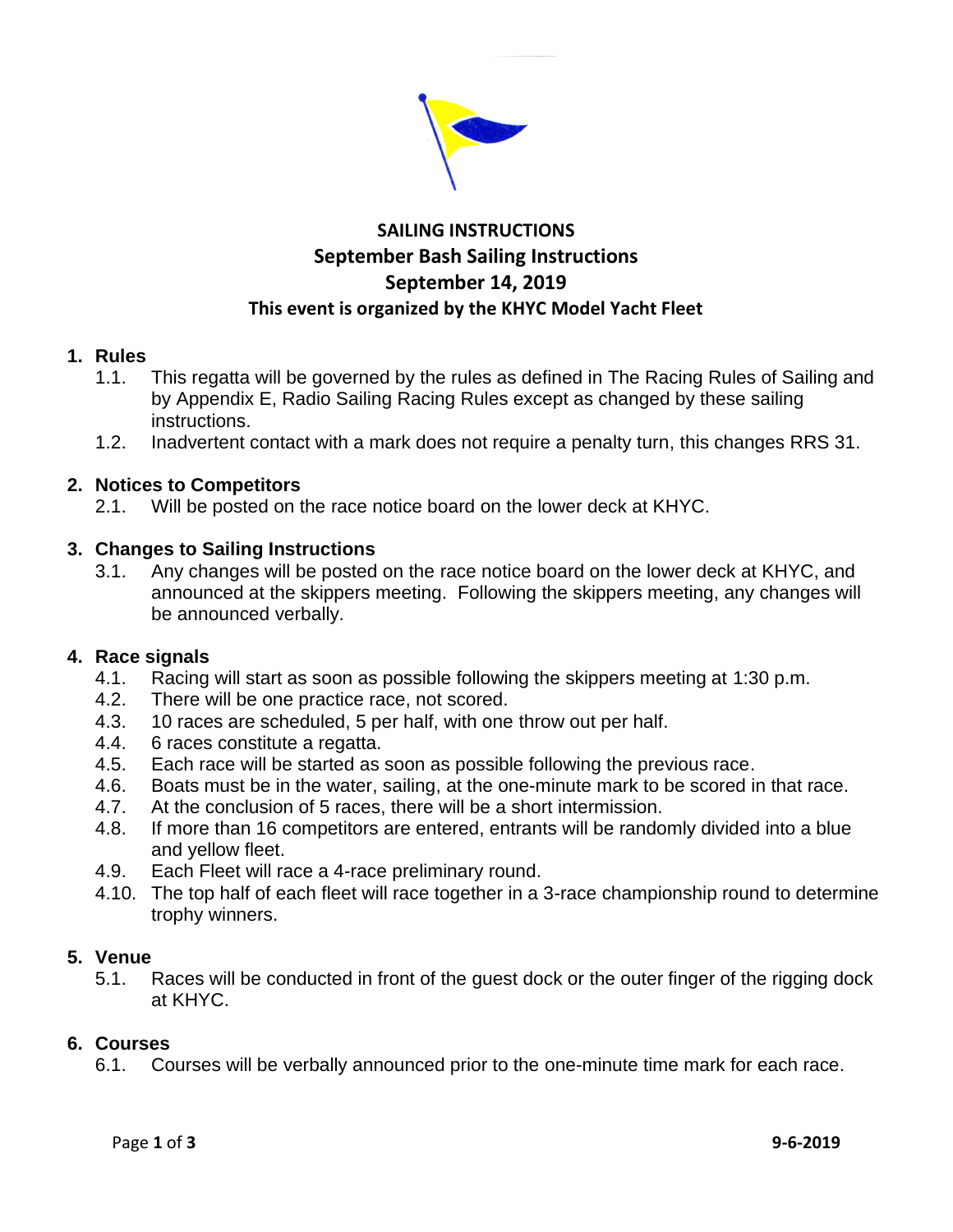

## **SAILING INSTRUCTIONS September Bash Sailing Instructions September 14, 2019 This event is organized by the KHYC Model Yacht Fleet**

### **1. Rules**

- 1.1. This regatta will be governed by the rules as defined in The Racing Rules of Sailing and by Appendix E, Radio Sailing Racing Rules except as changed by these sailing instructions.
- 1.2. Inadvertent contact with a mark does not require a penalty turn, this changes RRS 31.

### **2. Notices to Competitors**

2.1. Will be posted on the race notice board on the lower deck at KHYC.

### **3. Changes to Sailing Instructions**

3.1. Any changes will be posted on the race notice board on the lower deck at KHYC, and announced at the skippers meeting. Following the skippers meeting, any changes will be announced verbally.

### **4. Race signals**

- 4.1. Racing will start as soon as possible following the skippers meeting at 1:30 p.m.
- 4.2. There will be one practice race, not scored.
- 4.3. 10 races are scheduled, 5 per half, with one throw out per half.
- 4.4. 6 races constitute a regatta.
- 4.5. Each race will be started as soon as possible following the previous race.
- 4.6. Boats must be in the water, sailing, at the one-minute mark to be scored in that race.
- 4.7. At the conclusion of 5 races, there will be a short intermission.
- 4.8. If more than 16 competitors are entered, entrants will be randomly divided into a blue and yellow fleet.
- 4.9. Each Fleet will race a 4-race preliminary round.
- 4.10. The top half of each fleet will race together in a 3-race championship round to determine trophy winners.

#### **5. Venue**

5.1. Races will be conducted in front of the guest dock or the outer finger of the rigging dock at KHYC.

### **6. Courses**

6.1. Courses will be verbally announced prior to the one-minute time mark for each race.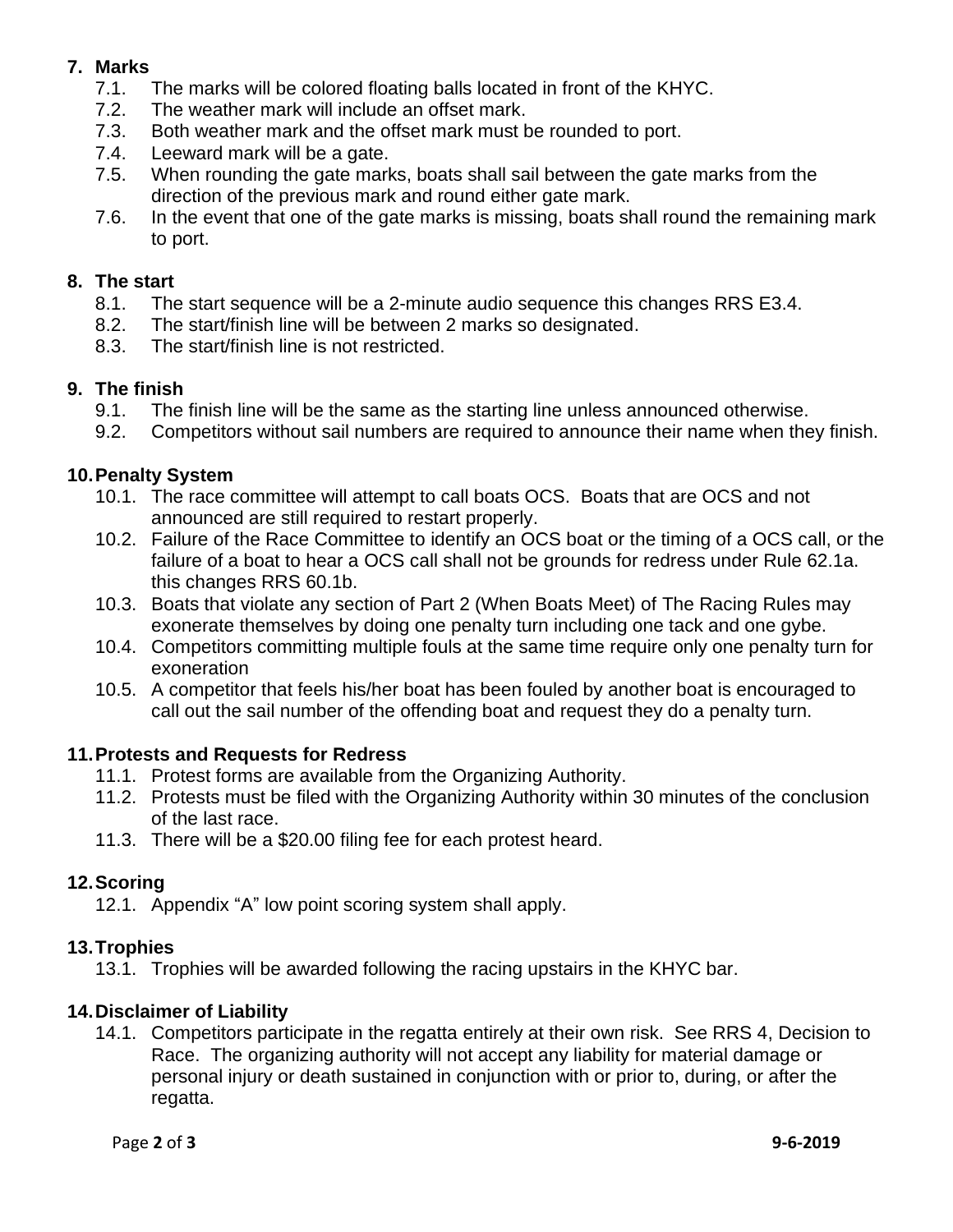### **7. Marks**

- 7.1. The marks will be colored floating balls located in front of the KHYC.
- 7.2. The weather mark will include an offset mark.
- 7.3. Both weather mark and the offset mark must be rounded to port.
- 7.4. Leeward mark will be a gate.
- 7.5. When rounding the gate marks, boats shall sail between the gate marks from the direction of the previous mark and round either gate mark.
- 7.6. In the event that one of the gate marks is missing, boats shall round the remaining mark to port.

# **8. The start**

- The start sequence will be a 2-minute audio sequence this changes RRS E3.4.
- 8.2. The start/finish line will be between 2 marks so designated.
- 8.3. The start/finish line is not restricted.

### **9. The finish**

- 9.1. The finish line will be the same as the starting line unless announced otherwise.
- 9.2. Competitors without sail numbers are required to announce their name when they finish.

### **10.Penalty System**

- 10.1. The race committee will attempt to call boats OCS. Boats that are OCS and not announced are still required to restart properly.
- 10.2. Failure of the Race Committee to identify an OCS boat or the timing of a OCS call, or the failure of a boat to hear a OCS call shall not be grounds for redress under Rule 62.1a. this changes RRS 60.1b.
- 10.3. Boats that violate any section of Part 2 (When Boats Meet) of The Racing Rules may exonerate themselves by doing one penalty turn including one tack and one gybe.
- 10.4. Competitors committing multiple fouls at the same time require only one penalty turn for exoneration
- 10.5. A competitor that feels his/her boat has been fouled by another boat is encouraged to call out the sail number of the offending boat and request they do a penalty turn.

### **11.Protests and Requests for Redress**

- 11.1. Protest forms are available from the Organizing Authority.
- 11.2. Protests must be filed with the Organizing Authority within 30 minutes of the conclusion of the last race.
- 11.3. There will be a \$20.00 filing fee for each protest heard.

### **12.Scoring**

12.1. Appendix "A" low point scoring system shall apply.

### **13.Trophies**

13.1. Trophies will be awarded following the racing upstairs in the KHYC bar.

### **14.Disclaimer of Liability**

14.1. Competitors participate in the regatta entirely at their own risk. See RRS 4, Decision to Race. The organizing authority will not accept any liability for material damage or personal injury or death sustained in conjunction with or prior to, during, or after the regatta.